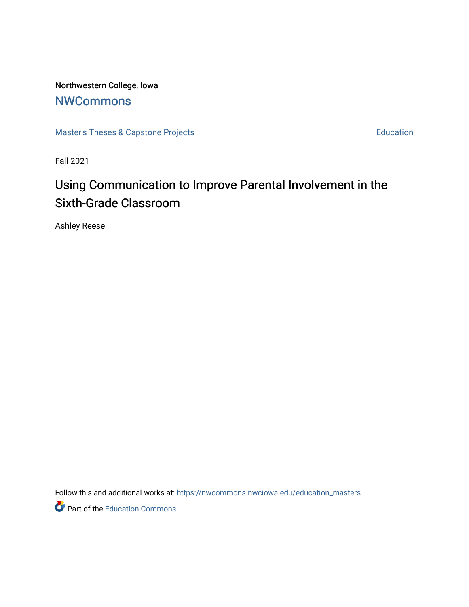Northwestern College, Iowa

## **[NWCommons](https://nwcommons.nwciowa.edu/)**

[Master's Theses & Capstone Projects](https://nwcommons.nwciowa.edu/education_masters) **Education** Education

Fall 2021

# Using Communication to Improve Parental Involvement in the Sixth-Grade Classroom

Ashley Reese

Follow this and additional works at: [https://nwcommons.nwciowa.edu/education\\_masters](https://nwcommons.nwciowa.edu/education_masters?utm_source=nwcommons.nwciowa.edu%2Feducation_masters%2F375&utm_medium=PDF&utm_campaign=PDFCoverPages)

Part of the [Education Commons](http://network.bepress.com/hgg/discipline/784?utm_source=nwcommons.nwciowa.edu%2Feducation_masters%2F375&utm_medium=PDF&utm_campaign=PDFCoverPages)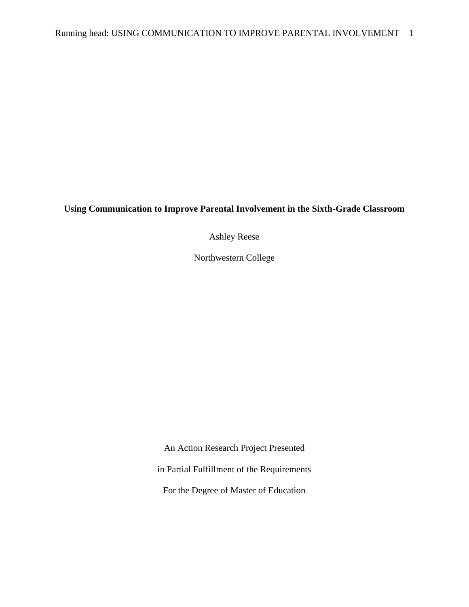### **Using Communication to Improve Parental Involvement in the Sixth-Grade Classroom**

Ashley Reese

Northwestern College

An Action Research Project Presented in Partial Fulfillment of the Requirements For the Degree of Master of Education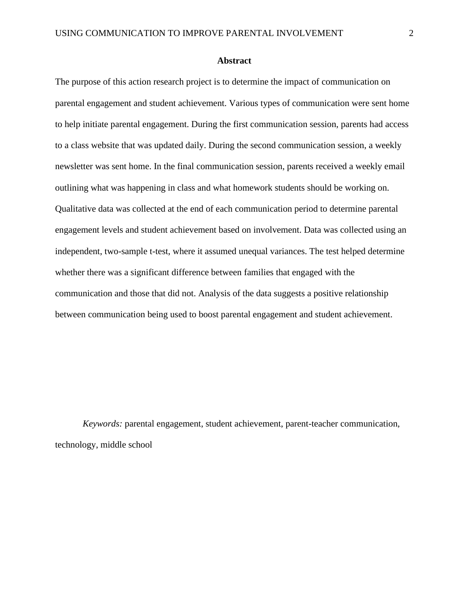#### **Abstract**

<span id="page-2-0"></span>The purpose of this action research project is to determine the impact of communication on parental engagement and student achievement. Various types of communication were sent home to help initiate parental engagement. During the first communication session, parents had access to a class website that was updated daily. During the second communication session, a weekly newsletter was sent home. In the final communication session, parents received a weekly email outlining what was happening in class and what homework students should be working on. Qualitative data was collected at the end of each communication period to determine parental engagement levels and student achievement based on involvement. Data was collected using an independent, two-sample t-test, where it assumed unequal variances. The test helped determine whether there was a significant difference between families that engaged with the communication and those that did not. Analysis of the data suggests a positive relationship between communication being used to boost parental engagement and student achievement.

*Keywords:* parental engagement, student achievement, parent-teacher communication, technology, middle school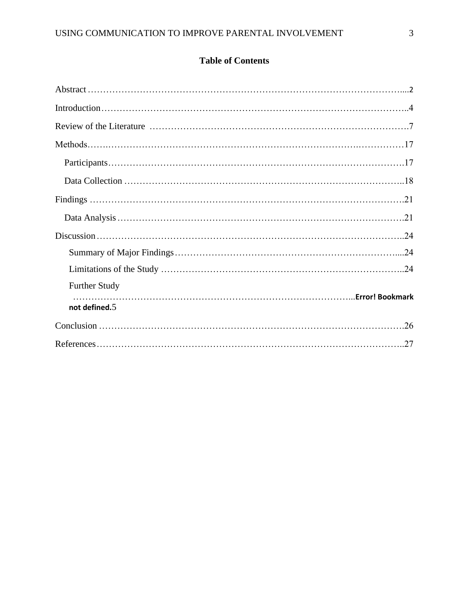## **Table of Contents**

| <b>Further Study</b> |
|----------------------|
| not defined.5        |
|                      |
|                      |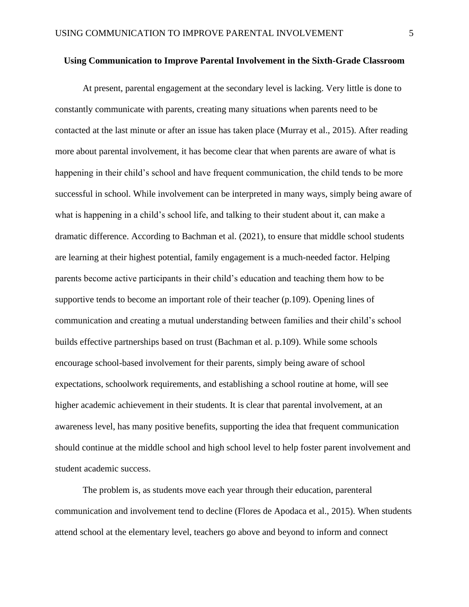#### **Using Communication to Improve Parental Involvement in the Sixth-Grade Classroom**

At present, parental engagement at the secondary level is lacking. Very little is done to constantly communicate with parents, creating many situations when parents need to be contacted at the last minute or after an issue has taken place (Murray et al., 2015). After reading more about parental involvement, it has become clear that when parents are aware of what is happening in their child's school and have frequent communication, the child tends to be more successful in school. While involvement can be interpreted in many ways, simply being aware of what is happening in a child's school life, and talking to their student about it, can make a dramatic difference. According to Bachman et al. (2021), to ensure that middle school students are learning at their highest potential, family engagement is a much-needed factor. Helping parents become active participants in their child's education and teaching them how to be supportive tends to become an important role of their teacher (p.109). Opening lines of communication and creating a mutual understanding between families and their child's school builds effective partnerships based on trust (Bachman et al. p.109). While some schools encourage school-based involvement for their parents, simply being aware of school expectations, schoolwork requirements, and establishing a school routine at home, will see higher academic achievement in their students. It is clear that parental involvement, at an awareness level, has many positive benefits, supporting the idea that frequent communication should continue at the middle school and high school level to help foster parent involvement and student academic success.

The problem is, as students move each year through their education, parenteral communication and involvement tend to decline (Flores de Apodaca et al., 2015). When students attend school at the elementary level, teachers go above and beyond to inform and connect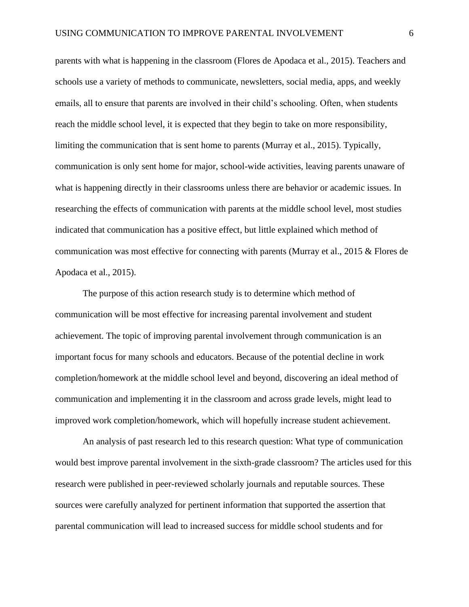parents with what is happening in the classroom (Flores de Apodaca et al., 2015). Teachers and schools use a variety of methods to communicate, newsletters, social media, apps, and weekly emails, all to ensure that parents are involved in their child's schooling. Often, when students reach the middle school level, it is expected that they begin to take on more responsibility, limiting the communication that is sent home to parents (Murray et al., 2015). Typically, communication is only sent home for major, school-wide activities, leaving parents unaware of what is happening directly in their classrooms unless there are behavior or academic issues. In researching the effects of communication with parents at the middle school level, most studies indicated that communication has a positive effect, but little explained which method of communication was most effective for connecting with parents (Murray et al., 2015 & Flores de Apodaca et al., 2015).

The purpose of this action research study is to determine which method of communication will be most effective for increasing parental involvement and student achievement. The topic of improving parental involvement through communication is an important focus for many schools and educators. Because of the potential decline in work completion/homework at the middle school level and beyond, discovering an ideal method of communication and implementing it in the classroom and across grade levels, might lead to improved work completion/homework, which will hopefully increase student achievement.

An analysis of past research led to this research question: What type of communication would best improve parental involvement in the sixth-grade classroom? The articles used for this research were published in peer-reviewed scholarly journals and reputable sources. These sources were carefully analyzed for pertinent information that supported the assertion that parental communication will lead to increased success for middle school students and for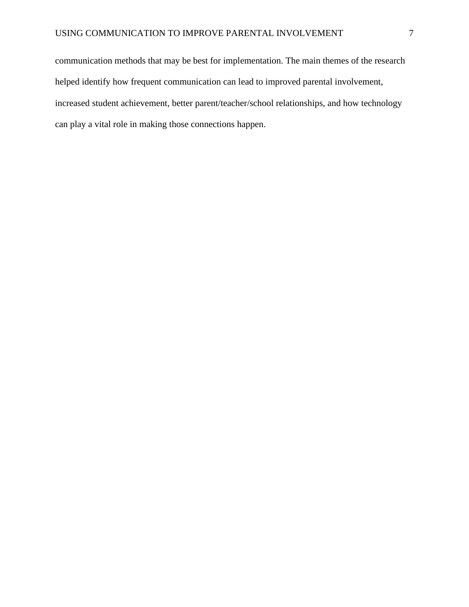communication methods that may be best for implementation. The main themes of the research helped identify how frequent communication can lead to improved parental involvement, increased student achievement, better parent/teacher/school relationships, and how technology can play a vital role in making those connections happen.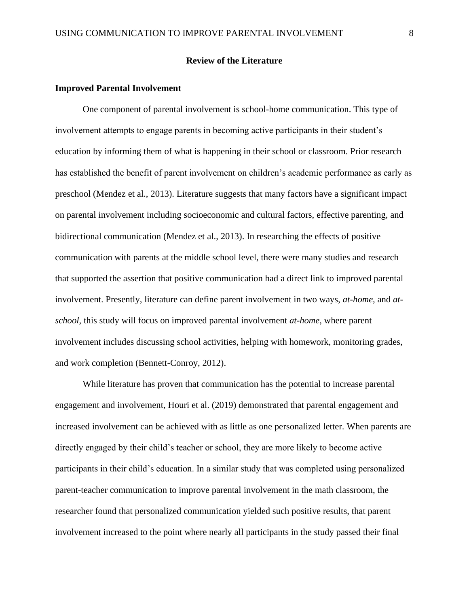#### **Review of the Literature**

#### **Improved Parental Involvement**

One component of parental involvement is school-home communication. This type of involvement attempts to engage parents in becoming active participants in their student's education by informing them of what is happening in their school or classroom. Prior research has established the benefit of parent involvement on children's academic performance as early as preschool (Mendez et al., 2013). Literature suggests that many factors have a significant impact on parental involvement including socioeconomic and cultural factors, effective parenting, and bidirectional communication (Mendez et al., 2013). In researching the effects of positive communication with parents at the middle school level, there were many studies and research that supported the assertion that positive communication had a direct link to improved parental involvement. Presently, literature can define parent involvement in two ways, *at-home*, and *atschool*, this study will focus on improved parental involvement *at-home*, where parent involvement includes discussing school activities, helping with homework, monitoring grades, and work completion (Bennett-Conroy, 2012).

While literature has proven that communication has the potential to increase parental engagement and involvement, Houri et al. (2019) demonstrated that parental engagement and increased involvement can be achieved with as little as one personalized letter. When parents are directly engaged by their child's teacher or school, they are more likely to become active participants in their child's education. In a similar study that was completed using personalized parent-teacher communication to improve parental involvement in the math classroom, the researcher found that personalized communication yielded such positive results, that parent involvement increased to the point where nearly all participants in the study passed their final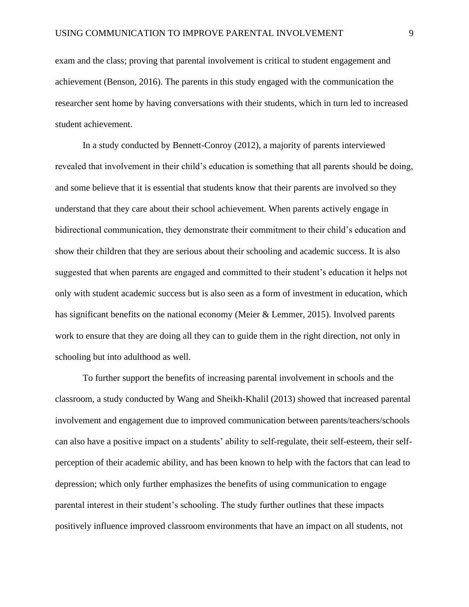exam and the class; proving that parental involvement is critical to student engagement and achievement (Benson, 2016). The parents in this study engaged with the communication the researcher sent home by having conversations with their students, which in turn led to increased student achievement.

In a study conducted by Bennett-Conroy (2012), a majority of parents interviewed revealed that involvement in their child's education is something that all parents should be doing, and some believe that it is essential that students know that their parents are involved so they understand that they care about their school achievement. When parents actively engage in bidirectional communication, they demonstrate their commitment to their child's education and show their children that they are serious about their schooling and academic success. It is also suggested that when parents are engaged and committed to their student's education it helps not only with student academic success but is also seen as a form of investment in education, which has significant benefits on the national economy (Meier & Lemmer, 2015). Involved parents work to ensure that they are doing all they can to guide them in the right direction, not only in schooling but into adulthood as well.

To further support the benefits of increasing parental involvement in schools and the classroom, a study conducted by Wang and Sheikh-Khalil (2013) showed that increased parental involvement and engagement due to improved communication between parents/teachers/schools can also have a positive impact on a students' ability to self-regulate, their self-esteem, their selfperception of their academic ability, and has been known to help with the factors that can lead to depression; which only further emphasizes the benefits of using communication to engage parental interest in their student's schooling. The study further outlines that these impacts positively influence improved classroom environments that have an impact on all students, not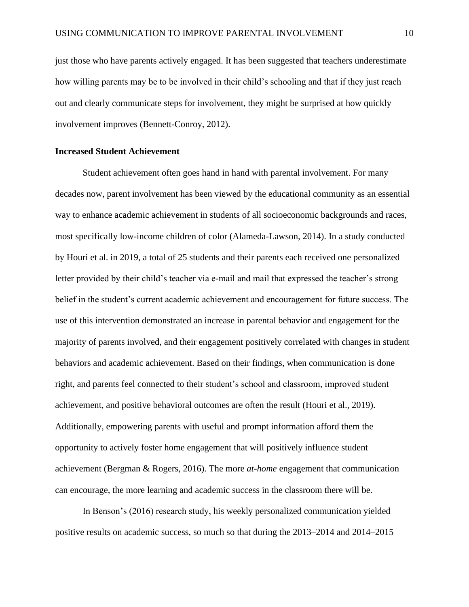just those who have parents actively engaged. It has been suggested that teachers underestimate how willing parents may be to be involved in their child's schooling and that if they just reach out and clearly communicate steps for involvement, they might be surprised at how quickly involvement improves (Bennett-Conroy, 2012).

#### **Increased Student Achievement**

Student achievement often goes hand in hand with parental involvement. For many decades now, parent involvement has been viewed by the educational community as an essential way to enhance academic achievement in students of all socioeconomic backgrounds and races, most specifically low-income children of color (Alameda-Lawson, 2014). In a study conducted by Houri et al. in 2019, a total of 25 students and their parents each received one personalized letter provided by their child's teacher via e-mail and mail that expressed the teacher's strong belief in the student's current academic achievement and encouragement for future success. The use of this intervention demonstrated an increase in parental behavior and engagement for the majority of parents involved, and their engagement positively correlated with changes in student behaviors and academic achievement. Based on their findings, when communication is done right, and parents feel connected to their student's school and classroom, improved student achievement, and positive behavioral outcomes are often the result (Houri et al., 2019). Additionally, empowering parents with useful and prompt information afford them the opportunity to actively foster home engagement that will positively influence student achievement (Bergman & Rogers, 2016). The more *at-home* engagement that communication can encourage, the more learning and academic success in the classroom there will be.

In Benson's (2016) research study, his weekly personalized communication yielded positive results on academic success, so much so that during the 2013–2014 and 2014–2015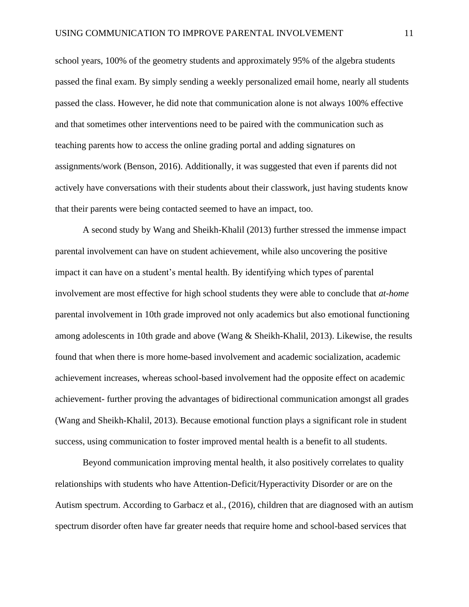school years, 100% of the geometry students and approximately 95% of the algebra students passed the final exam. By simply sending a weekly personalized email home, nearly all students passed the class. However, he did note that communication alone is not always 100% effective and that sometimes other interventions need to be paired with the communication such as teaching parents how to access the online grading portal and adding signatures on assignments/work (Benson, 2016). Additionally, it was suggested that even if parents did not actively have conversations with their students about their classwork, just having students know that their parents were being contacted seemed to have an impact, too.

A second study by Wang and Sheikh-Khalil (2013) further stressed the immense impact parental involvement can have on student achievement, while also uncovering the positive impact it can have on a student's mental health. By identifying which types of parental involvement are most effective for high school students they were able to conclude that *at-home* parental involvement in 10th grade improved not only academics but also emotional functioning among adolescents in 10th grade and above (Wang & Sheikh-Khalil, 2013). Likewise, the results found that when there is more home-based involvement and academic socialization, academic achievement increases, whereas school-based involvement had the opposite effect on academic achievement- further proving the advantages of bidirectional communication amongst all grades (Wang and Sheikh-Khalil, 2013). Because emotional function plays a significant role in student success, using communication to foster improved mental health is a benefit to all students.

Beyond communication improving mental health, it also positively correlates to quality relationships with students who have Attention-Deficit/Hyperactivity Disorder or are on the Autism spectrum. According to Garbacz et al., (2016), children that are diagnosed with an autism spectrum disorder often have far greater needs that require home and school-based services that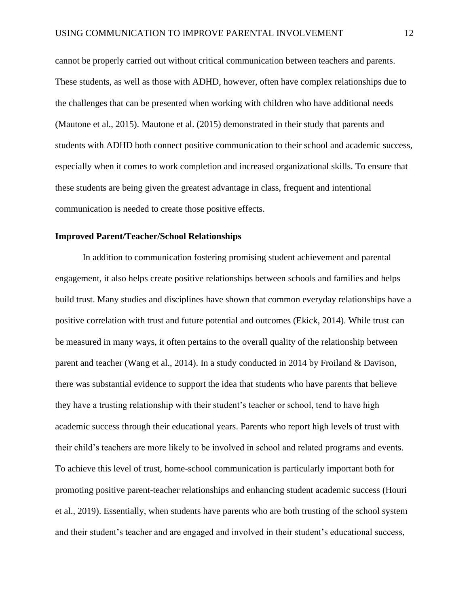cannot be properly carried out without critical communication between teachers and parents. These students, as well as those with ADHD, however, often have complex relationships due to the challenges that can be presented when working with children who have additional needs (Mautone et al., 2015). Mautone et al. (2015) demonstrated in their study that parents and students with ADHD both connect positive communication to their school and academic success, especially when it comes to work completion and increased organizational skills. To ensure that these students are being given the greatest advantage in class, frequent and intentional communication is needed to create those positive effects.

#### **Improved Parent/Teacher/School Relationships**

In addition to communication fostering promising student achievement and parental engagement, it also helps create positive relationships between schools and families and helps build trust. Many studies and disciplines have shown that common everyday relationships have a positive correlation with trust and future potential and outcomes (Ekick, 2014). While trust can be measured in many ways, it often pertains to the overall quality of the relationship between parent and teacher (Wang et al., 2014). In a study conducted in 2014 by Froiland & Davison, there was substantial evidence to support the idea that students who have parents that believe they have a trusting relationship with their student's teacher or school, tend to have high academic success through their educational years. Parents who report high levels of trust with their child's teachers are more likely to be involved in school and related programs and events. To achieve this level of trust, home-school communication is particularly important both for promoting positive parent-teacher relationships and enhancing student academic success (Houri et al., 2019). Essentially, when students have parents who are both trusting of the school system and their student's teacher and are engaged and involved in their student's educational success,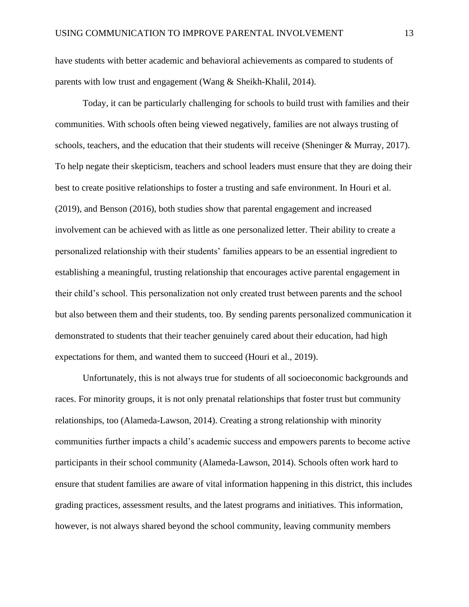have students with better academic and behavioral achievements as compared to students of parents with low trust and engagement (Wang & Sheikh-Khalil, 2014).

Today, it can be particularly challenging for schools to build trust with families and their communities. With schools often being viewed negatively, families are not always trusting of schools, teachers, and the education that their students will receive (Sheninger & Murray, 2017). To help negate their skepticism, teachers and school leaders must ensure that they are doing their best to create positive relationships to foster a trusting and safe environment. In Houri et al. (2019), and Benson (2016), both studies show that parental engagement and increased involvement can be achieved with as little as one personalized letter. Their ability to create a personalized relationship with their students' families appears to be an essential ingredient to establishing a meaningful, trusting relationship that encourages active parental engagement in their child's school. This personalization not only created trust between parents and the school but also between them and their students, too. By sending parents personalized communication it demonstrated to students that their teacher genuinely cared about their education, had high expectations for them, and wanted them to succeed (Houri et al., 2019).

Unfortunately, this is not always true for students of all socioeconomic backgrounds and races. For minority groups, it is not only prenatal relationships that foster trust but community relationships, too (Alameda-Lawson, 2014). Creating a strong relationship with minority communities further impacts a child's academic success and empowers parents to become active participants in their school community (Alameda-Lawson, 2014). Schools often work hard to ensure that student families are aware of vital information happening in this district, this includes grading practices, assessment results, and the latest programs and initiatives. This information, however, is not always shared beyond the school community, leaving community members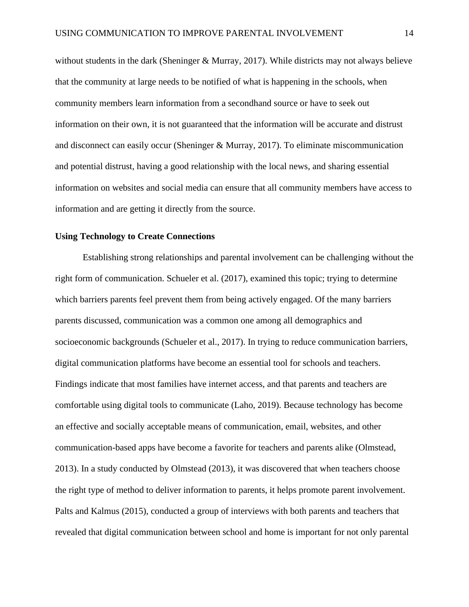without students in the dark (Sheninger & Murray, 2017). While districts may not always believe that the community at large needs to be notified of what is happening in the schools, when community members learn information from a secondhand source or have to seek out information on their own, it is not guaranteed that the information will be accurate and distrust and disconnect can easily occur (Sheninger & Murray, 2017). To eliminate miscommunication and potential distrust, having a good relationship with the local news, and sharing essential information on websites and social media can ensure that all community members have access to information and are getting it directly from the source.

#### **Using Technology to Create Connections**

Establishing strong relationships and parental involvement can be challenging without the right form of communication. Schueler et al. (2017), examined this topic; trying to determine which barriers parents feel prevent them from being actively engaged. Of the many barriers parents discussed, communication was a common one among all demographics and socioeconomic backgrounds (Schueler et al., 2017). In trying to reduce communication barriers, digital communication platforms have become an essential tool for schools and teachers. Findings indicate that most families have internet access, and that parents and teachers are comfortable using digital tools to communicate (Laho, 2019). Because technology has become an effective and socially acceptable means of communication, email, websites, and other communication-based apps have become a favorite for teachers and parents alike (Olmstead, 2013). In a study conducted by Olmstead (2013), it was discovered that when teachers choose the right type of method to deliver information to parents, it helps promote parent involvement. Palts and Kalmus (2015), conducted a group of interviews with both parents and teachers that revealed that digital communication between school and home is important for not only parental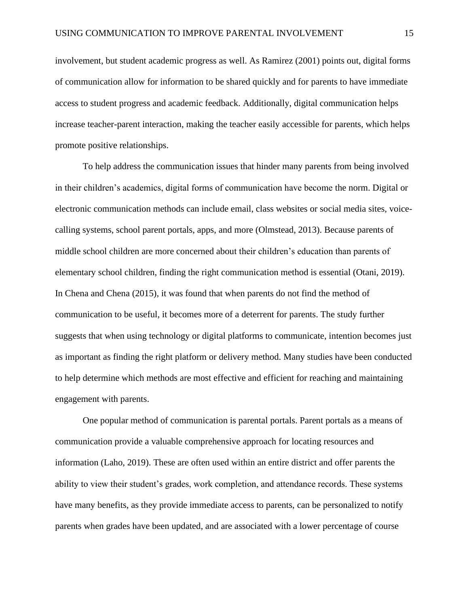involvement, but student academic progress as well. As Ramirez (2001) points out, digital forms of communication allow for information to be shared quickly and for parents to have immediate access to student progress and academic feedback. Additionally, digital communication helps increase teacher-parent interaction, making the teacher easily accessible for parents, which helps promote positive relationships.

To help address the communication issues that hinder many parents from being involved in their children's academics, digital forms of communication have become the norm. Digital or electronic communication methods can include email, class websites or social media sites, voicecalling systems, school parent portals, apps, and more (Olmstead, 2013). Because parents of middle school children are more concerned about their children's education than parents of elementary school children, finding the right communication method is essential (Otani, 2019). In Chena and Chena (2015), it was found that when parents do not find the method of communication to be useful, it becomes more of a deterrent for parents. The study further suggests that when using technology or digital platforms to communicate, intention becomes just as important as finding the right platform or delivery method. Many studies have been conducted to help determine which methods are most effective and efficient for reaching and maintaining engagement with parents.

One popular method of communication is parental portals. Parent portals as a means of communication provide a valuable comprehensive approach for locating resources and information (Laho, 2019). These are often used within an entire district and offer parents the ability to view their student's grades, work completion, and attendance records. These systems have many benefits, as they provide immediate access to parents, can be personalized to notify parents when grades have been updated, and are associated with a lower percentage of course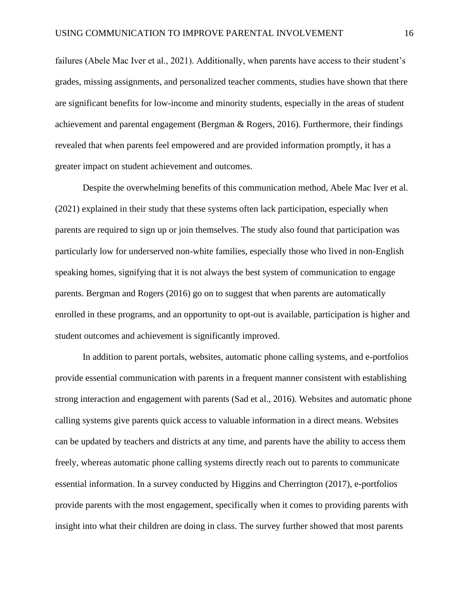failures (Abele Mac Iver et al., 2021). Additionally, when parents have access to their student's grades, missing assignments, and personalized teacher comments, studies have shown that there are significant benefits for low-income and minority students, especially in the areas of student achievement and parental engagement (Bergman & Rogers, 2016). Furthermore, their findings revealed that when parents feel empowered and are provided information promptly, it has a greater impact on student achievement and outcomes.

Despite the overwhelming benefits of this communication method, Abele Mac Iver et al. (2021) explained in their study that these systems often lack participation, especially when parents are required to sign up or join themselves. The study also found that participation was particularly low for underserved non-white families, especially those who lived in non-English speaking homes, signifying that it is not always the best system of communication to engage parents. Bergman and Rogers (2016) go on to suggest that when parents are automatically enrolled in these programs, and an opportunity to opt-out is available, participation is higher and student outcomes and achievement is significantly improved.

In addition to parent portals, websites, automatic phone calling systems, and e-portfolios provide essential communication with parents in a frequent manner consistent with establishing strong interaction and engagement with parents (Sad et al., 2016). Websites and automatic phone calling systems give parents quick access to valuable information in a direct means. Websites can be updated by teachers and districts at any time, and parents have the ability to access them freely, whereas automatic phone calling systems directly reach out to parents to communicate essential information. In a survey conducted by Higgins and Cherrington (2017), e-portfolios provide parents with the most engagement, specifically when it comes to providing parents with insight into what their children are doing in class. The survey further showed that most parents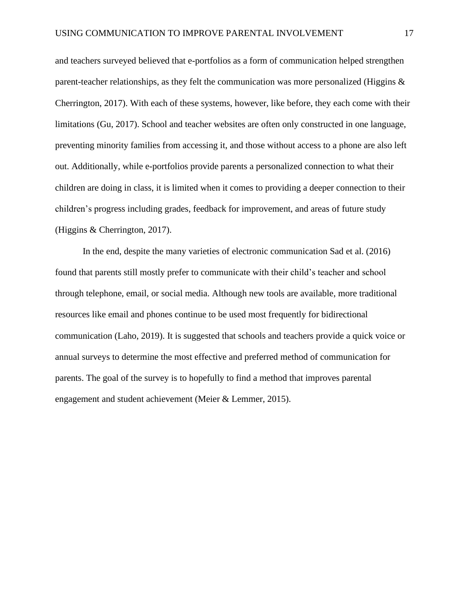and teachers surveyed believed that e-portfolios as a form of communication helped strengthen parent-teacher relationships, as they felt the communication was more personalized (Higgins & Cherrington, 2017). With each of these systems, however, like before, they each come with their limitations (Gu, 2017). School and teacher websites are often only constructed in one language, preventing minority families from accessing it, and those without access to a phone are also left out. Additionally, while e-portfolios provide parents a personalized connection to what their children are doing in class, it is limited when it comes to providing a deeper connection to their children's progress including grades, feedback for improvement, and areas of future study (Higgins & Cherrington, 2017).

In the end, despite the many varieties of electronic communication Sad et al. (2016) found that parents still mostly prefer to communicate with their child's teacher and school through telephone, email, or social media. Although new tools are available, more traditional resources like email and phones continue to be used most frequently for bidirectional communication (Laho, 2019). It is suggested that schools and teachers provide a quick voice or annual surveys to determine the most effective and preferred method of communication for parents. The goal of the survey is to hopefully to find a method that improves parental engagement and student achievement (Meier & Lemmer, 2015).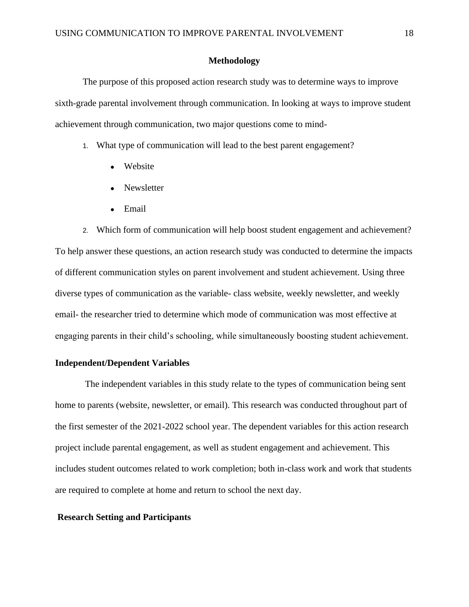#### **Methodology**

The purpose of this proposed action research study was to determine ways to improve sixth-grade parental involvement through communication. In looking at ways to improve student achievement through communication, two major questions come to mind-

1. What type of communication will lead to the best parent engagement?

- Website
- Newsletter
- Email

2. Which form of communication will help boost student engagement and achievement? To help answer these questions, an action research study was conducted to determine the impacts of different communication styles on parent involvement and student achievement. Using three diverse types of communication as the variable- class website, weekly newsletter, and weekly email- the researcher tried to determine which mode of communication was most effective at engaging parents in their child's schooling, while simultaneously boosting student achievement.

#### **Independent/Dependent Variables**

The independent variables in this study relate to the types of communication being sent home to parents (website, newsletter, or email). This research was conducted throughout part of the first semester of the 2021-2022 school year. The dependent variables for this action research project include parental engagement, as well as student engagement and achievement. This includes student outcomes related to work completion; both in-class work and work that students are required to complete at home and return to school the next day.

#### **Research Setting and Participants**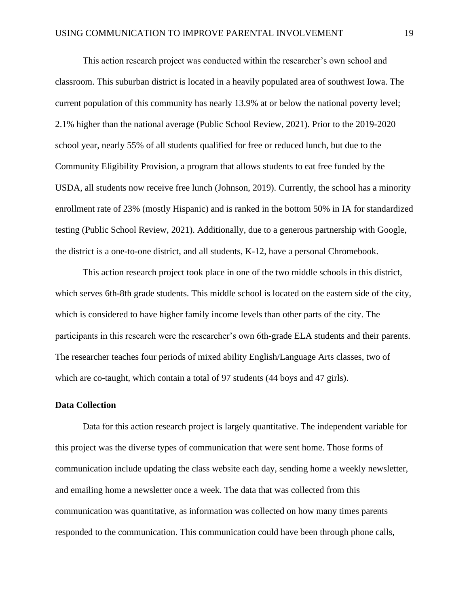This action research project was conducted within the researcher's own school and classroom. This suburban district is located in a heavily populated area of southwest Iowa. The current population of this community has nearly 13.9% at or below the national poverty level; 2.1% higher than the national average (Public School Review, 2021). Prior to the 2019-2020 school year, nearly 55% of all students qualified for free or reduced lunch, but due to the Community Eligibility Provision, a program that allows students to eat free funded by the USDA, all students now receive free lunch (Johnson, 2019). Currently, the school has a minority enrollment rate of 23% (mostly Hispanic) and is ranked in the bottom 50% in IA for standardized testing (Public School Review, 2021). Additionally, due to a generous partnership with Google, the district is a one-to-one district, and all students, K-12, have a personal Chromebook.

This action research project took place in one of the two middle schools in this district, which serves 6th-8th grade students. This middle school is located on the eastern side of the city, which is considered to have higher family income levels than other parts of the city. The participants in this research were the researcher's own 6th-grade ELA students and their parents. The researcher teaches four periods of mixed ability English/Language Arts classes, two of which are co-taught, which contain a total of 97 students (44 boys and 47 girls).

#### **Data Collection**

Data for this action research project is largely quantitative. The independent variable for this project was the diverse types of communication that were sent home. Those forms of communication include updating the class website each day, sending home a weekly newsletter, and emailing home a newsletter once a week. The data that was collected from this communication was quantitative, as information was collected on how many times parents responded to the communication. This communication could have been through phone calls,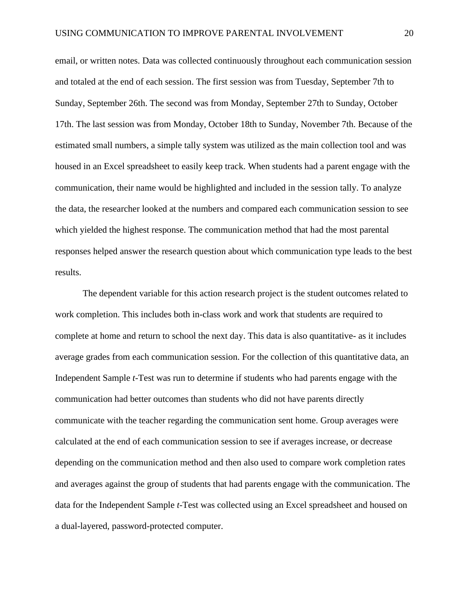email, or written notes. Data was collected continuously throughout each communication session and totaled at the end of each session. The first session was from Tuesday, September 7th to Sunday, September 26th. The second was from Monday, September 27th to Sunday, October 17th. The last session was from Monday, October 18th to Sunday, November 7th. Because of the estimated small numbers, a simple tally system was utilized as the main collection tool and was housed in an Excel spreadsheet to easily keep track. When students had a parent engage with the communication, their name would be highlighted and included in the session tally. To analyze the data, the researcher looked at the numbers and compared each communication session to see which yielded the highest response. The communication method that had the most parental responses helped answer the research question about which communication type leads to the best results.

The dependent variable for this action research project is the student outcomes related to work completion. This includes both in-class work and work that students are required to complete at home and return to school the next day. This data is also quantitative- as it includes average grades from each communication session. For the collection of this quantitative data, an Independent Sample *t*-Test was run to determine if students who had parents engage with the communication had better outcomes than students who did not have parents directly communicate with the teacher regarding the communication sent home. Group averages were calculated at the end of each communication session to see if averages increase, or decrease depending on the communication method and then also used to compare work completion rates and averages against the group of students that had parents engage with the communication. The data for the Independent Sample *t*-Test was collected using an Excel spreadsheet and housed on a dual-layered, password-protected computer.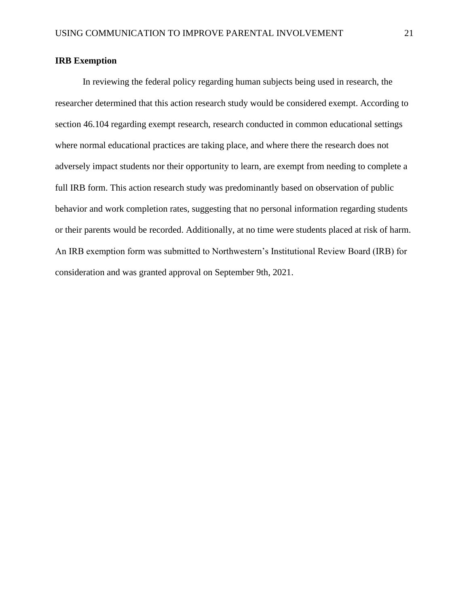#### **IRB Exemption**

In reviewing the federal policy regarding human subjects being used in research, the researcher determined that this action research study would be considered exempt. According to section 46.104 regarding exempt research, research conducted in common educational settings where normal educational practices are taking place, and where there the research does not adversely impact students nor their opportunity to learn, are exempt from needing to complete a full IRB form. This action research study was predominantly based on observation of public behavior and work completion rates, suggesting that no personal information regarding students or their parents would be recorded. Additionally, at no time were students placed at risk of harm. An IRB exemption form was submitted to Northwestern's Institutional Review Board (IRB) for consideration and was granted approval on September 9th, 2021.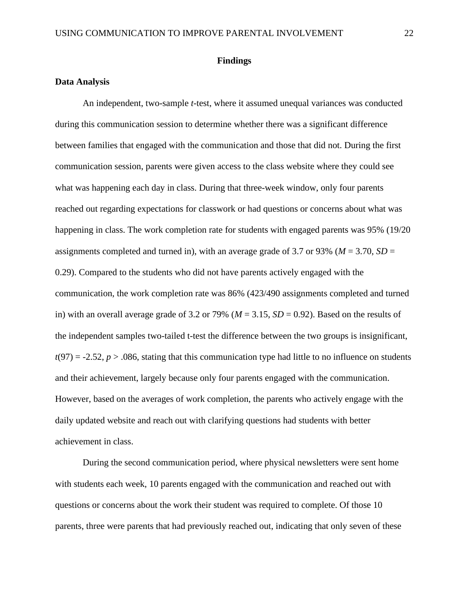#### **Findings**

#### **Data Analysis**

An independent, two-sample *t-*test, where it assumed unequal variances was conducted during this communication session to determine whether there was a significant difference between families that engaged with the communication and those that did not. During the first communication session, parents were given access to the class website where they could see what was happening each day in class. During that three-week window, only four parents reached out regarding expectations for classwork or had questions or concerns about what was happening in class. The work completion rate for students with engaged parents was 95% (19/20 assignments completed and turned in), with an average grade of 3.7 or 93% ( $M = 3.70$ ,  $SD =$ 0.29). Compared to the students who did not have parents actively engaged with the communication, the work completion rate was 86% (423/490 assignments completed and turned in) with an overall average grade of 3.2 or 79% ( $M = 3.15$ ,  $SD = 0.92$ ). Based on the results of the independent samples two-tailed t-test the difference between the two groups is insignificant,  $t(97) = -2.52$ ,  $p > .086$ , stating that this communication type had little to no influence on students and their achievement, largely because only four parents engaged with the communication. However, based on the averages of work completion, the parents who actively engage with the daily updated website and reach out with clarifying questions had students with better achievement in class.

During the second communication period, where physical newsletters were sent home with students each week, 10 parents engaged with the communication and reached out with questions or concerns about the work their student was required to complete. Of those 10 parents, three were parents that had previously reached out, indicating that only seven of these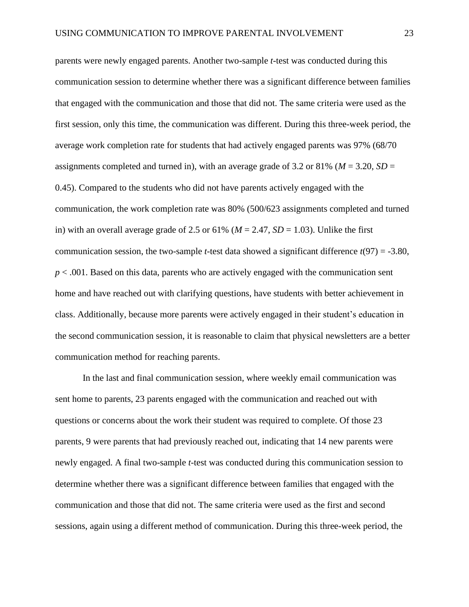parents were newly engaged parents. Another two-sample *t*-test was conducted during this communication session to determine whether there was a significant difference between families that engaged with the communication and those that did not. The same criteria were used as the first session, only this time, the communication was different. During this three-week period, the average work completion rate for students that had actively engaged parents was 97% (68/70 assignments completed and turned in), with an average grade of 3.2 or 81% ( $M = 3.20$ ,  $SD =$ 0.45). Compared to the students who did not have parents actively engaged with the communication, the work completion rate was 80% (500/623 assignments completed and turned in) with an overall average grade of 2.5 or 61% ( $M = 2.47$ ,  $SD = 1.03$ ). Unlike the first communication session, the two-sample *t*-test data showed a significant difference *t*(97) = -3.80, *p* < .001. Based on this data, parents who are actively engaged with the communication sent home and have reached out with clarifying questions, have students with better achievement in class. Additionally, because more parents were actively engaged in their student's education in the second communication session, it is reasonable to claim that physical newsletters are a better communication method for reaching parents.

In the last and final communication session, where weekly email communication was sent home to parents, 23 parents engaged with the communication and reached out with questions or concerns about the work their student was required to complete. Of those 23 parents, 9 were parents that had previously reached out, indicating that 14 new parents were newly engaged. A final two-sample *t*-test was conducted during this communication session to determine whether there was a significant difference between families that engaged with the communication and those that did not. The same criteria were used as the first and second sessions, again using a different method of communication. During this three-week period, the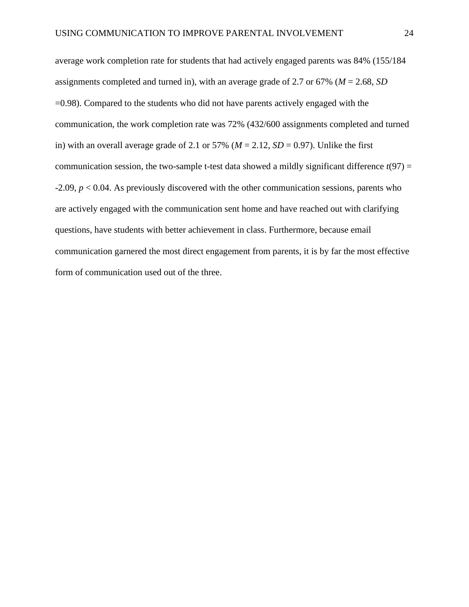average work completion rate for students that had actively engaged parents was 84% (155/184 assignments completed and turned in), with an average grade of 2.7 or 67% (*M* = 2.68, *SD* =0.98). Compared to the students who did not have parents actively engaged with the communication, the work completion rate was 72% (432/600 assignments completed and turned in) with an overall average grade of 2.1 or 57% ( $M = 2.12$ ,  $SD = 0.97$ ). Unlike the first communication session, the two-sample t-test data showed a mildly significant difference  $t(97)$  = -2.09, *p* < 0.04. As previously discovered with the other communication sessions, parents who are actively engaged with the communication sent home and have reached out with clarifying questions, have students with better achievement in class. Furthermore, because email communication garnered the most direct engagement from parents, it is by far the most effective form of communication used out of the three.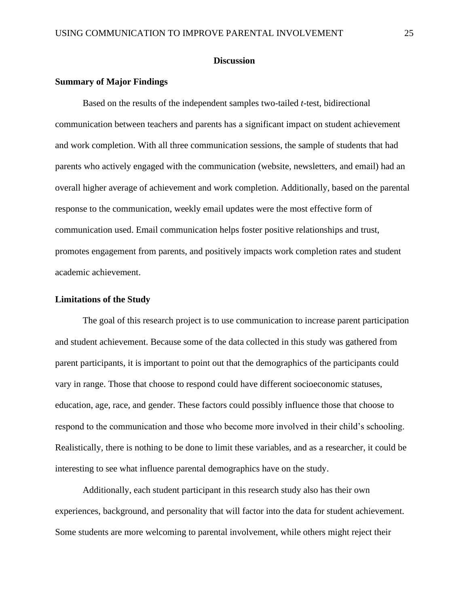#### **Discussion**

#### **Summary of Major Findings**

Based on the results of the independent samples two-tailed *t*-test, bidirectional communication between teachers and parents has a significant impact on student achievement and work completion. With all three communication sessions, the sample of students that had parents who actively engaged with the communication (website, newsletters, and email) had an overall higher average of achievement and work completion. Additionally, based on the parental response to the communication, weekly email updates were the most effective form of communication used. Email communication helps foster positive relationships and trust, promotes engagement from parents, and positively impacts work completion rates and student academic achievement.

#### **Limitations of the Study**

The goal of this research project is to use communication to increase parent participation and student achievement. Because some of the data collected in this study was gathered from parent participants, it is important to point out that the demographics of the participants could vary in range. Those that choose to respond could have different socioeconomic statuses, education, age, race, and gender. These factors could possibly influence those that choose to respond to the communication and those who become more involved in their child's schooling. Realistically, there is nothing to be done to limit these variables, and as a researcher, it could be interesting to see what influence parental demographics have on the study.

Additionally, each student participant in this research study also has their own experiences, background, and personality that will factor into the data for student achievement. Some students are more welcoming to parental involvement, while others might reject their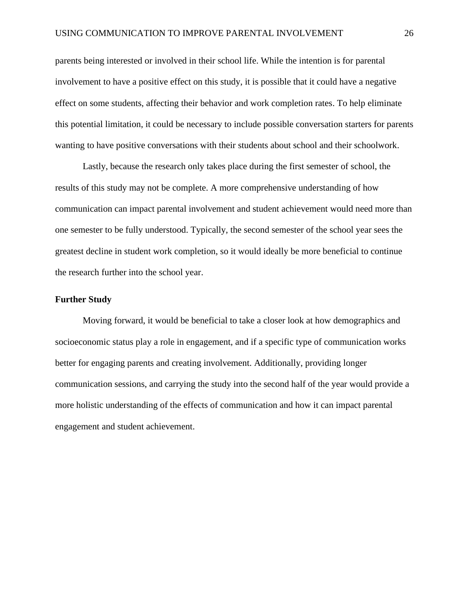parents being interested or involved in their school life. While the intention is for parental involvement to have a positive effect on this study, it is possible that it could have a negative effect on some students, affecting their behavior and work completion rates. To help eliminate this potential limitation, it could be necessary to include possible conversation starters for parents wanting to have positive conversations with their students about school and their schoolwork.

Lastly, because the research only takes place during the first semester of school, the results of this study may not be complete. A more comprehensive understanding of how communication can impact parental involvement and student achievement would need more than one semester to be fully understood. Typically, the second semester of the school year sees the greatest decline in student work completion, so it would ideally be more beneficial to continue the research further into the school year.

#### **Further Study**

Moving forward, it would be beneficial to take a closer look at how demographics and socioeconomic status play a role in engagement, and if a specific type of communication works better for engaging parents and creating involvement. Additionally, providing longer communication sessions, and carrying the study into the second half of the year would provide a more holistic understanding of the effects of communication and how it can impact parental engagement and student achievement.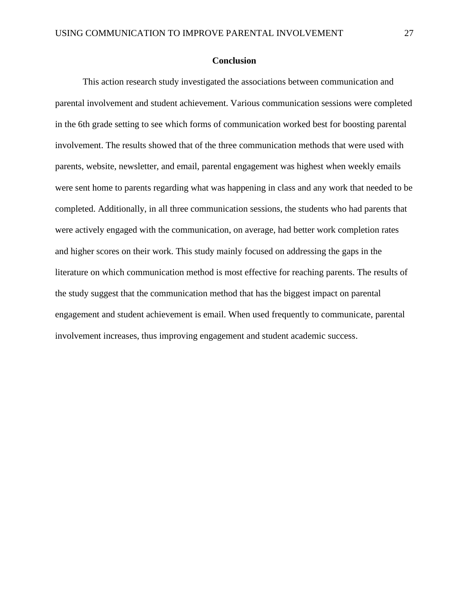#### **Conclusion**

This action research study investigated the associations between communication and parental involvement and student achievement. Various communication sessions were completed in the 6th grade setting to see which forms of communication worked best for boosting parental involvement. The results showed that of the three communication methods that were used with parents, website, newsletter, and email, parental engagement was highest when weekly emails were sent home to parents regarding what was happening in class and any work that needed to be completed. Additionally, in all three communication sessions, the students who had parents that were actively engaged with the communication, on average, had better work completion rates and higher scores on their work. This study mainly focused on addressing the gaps in the literature on which communication method is most effective for reaching parents. The results of the study suggest that the communication method that has the biggest impact on parental engagement and student achievement is email. When used frequently to communicate, parental involvement increases, thus improving engagement and student academic success.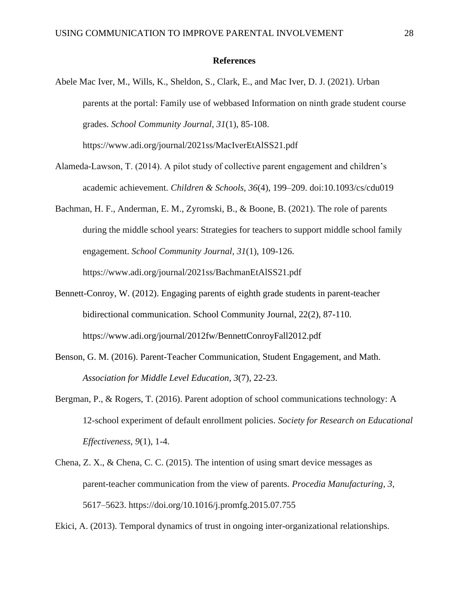#### **References**

- Abele Mac Iver, M., Wills, K., Sheldon, S., Clark, E., and Mac Iver, D. J. (2021). Urban parents at the portal: Family use of webbased Information on ninth grade student course grades. *School Community Journal, 31*(1), 85-108. https://www.adi.org/journal/2021ss/MacIverEtAlSS21.pdf
- Alameda-Lawson, T. (2014). A pilot study of collective parent engagement and children's academic achievement. *Children & Schools, 36*(4), 199–209. doi:10.1093/cs/cdu019
- Bachman, H. F., Anderman, E. M., Zyromski, B., & Boone, B. (2021). The role of parents during the middle school years: Strategies for teachers to support middle school family engagement. *School Community Journal*, *31*(1), 109-126. https://www.adi.org/journal/2021ss/BachmanEtAlSS21.pdf
- Bennett-Conroy, W. (2012). Engaging parents of eighth grade students in parent-teacher bidirectional communication. School Community Journal, 22(2), 87-110. https://www.adi.org/journal/2012fw/BennettConroyFall2012.pdf
- Benson, G. M. (2016). Parent-Teacher Communication, Student Engagement, and Math. *Association for Middle Level Education*, *3*(7), 22-23.
- Bergman, P., & Rogers, T. (2016). Parent adoption of school communications technology: A 12-school experiment of default enrollment policies. *Society for Research on Educational Effectiveness, 9*(1), 1-4.
- Chena, Z. X., & Chena, C. C. (2015). The intention of using smart device messages as parent-teacher communication from the view of parents. *Procedia Manufacturing, 3*, 5617–5623. https://doi.org/10.1016/j.promfg.2015.07.755

Ekici, A. (2013). Temporal dynamics of trust in ongoing inter-organizational relationships.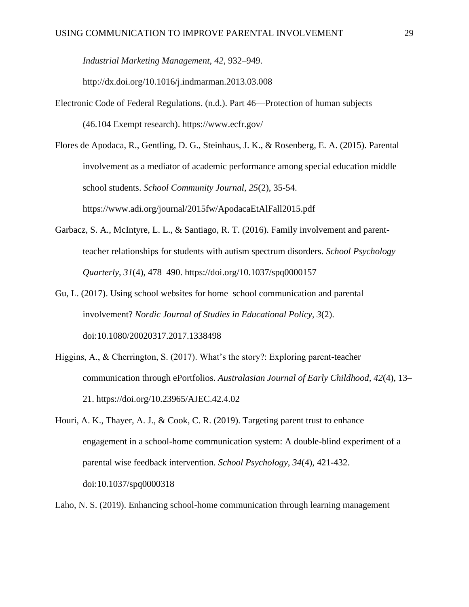*Industrial Marketing Management*, *42*, 932–949.

http://dx.doi.org/10.1016/j.indmarman.2013.03.008

- Electronic Code of Federal Regulations. (n.d.). Part 46—Protection of human subjects (46.104 Exempt research). https://www.ecfr.gov/
- Flores de Apodaca, R., Gentling, D. G., Steinhaus, J. K., & Rosenberg, E. A. (2015). Parental involvement as a mediator of academic performance among special education middle school students. *School Community Journal*, *25*(2), 35-54. https://www.adi.org/journal/2015fw/ApodacaEtAlFall2015.pdf
- Garbacz, S. A., McIntyre, L. L., & Santiago, R. T. (2016). Family involvement and parentteacher relationships for students with autism spectrum disorders. *School Psychology Quarterly*, *31*(4), 478–490. https://doi.org/10.1037/spq0000157
- Gu, L. (2017). Using school websites for home–school communication and parental involvement? *Nordic Journal of Studies in Educational Policy, 3*(2). doi:10.1080/20020317.2017.1338498
- Higgins, A., & Cherrington, S. (2017). What's the story?: Exploring parent-teacher communication through ePortfolios. *Australasian Journal of Early Childhood, 42*(4), 13– 21. https://doi.org/10.23965/AJEC.42.4.02
- Houri, A. K., Thayer, A. J., & Cook, C. R. (2019). Targeting parent trust to enhance engagement in a school-home communication system: A double-blind experiment of a parental wise feedback intervention. *School Psychology*, *34*(4), 421-432. doi:10.1037/spq0000318
- Laho, N. S. (2019). Enhancing school-home communication through learning management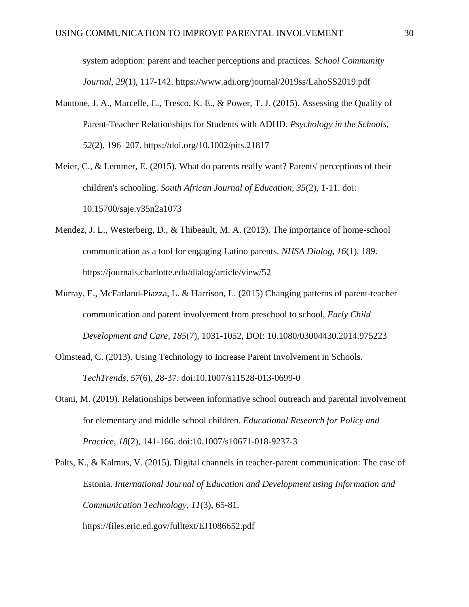system adoption: parent and teacher perceptions and practices. *School Community Journal, 29*(1), 117-142. https://www.adi.org/journal/2019ss/LahoSS2019.pdf

- Mautone, J. A., Marcelle, E., Tresco, K. E., & Power, T. J. (2015). Assessing the Quality of Parent-Teacher Relationships for Students with ADHD. *Psychology in the Schools*, *52*(2), 196–207. https://doi.org/10.1002/pits.21817
- Meier, C., & Lemmer, E. (2015). What do parents really want? Parents' perceptions of their children's schooling. *South African Journal of Education, 35*(2), 1-11. doi: 10.15700/saje.v35n2a1073
- Mendez, J. L., Westerberg, D., & Thibeault, M. A. (2013). The importance of home-school communication as a tool for engaging Latino parents. *NHSA Dialog, 16*(1), 189. https://journals.charlotte.edu/dialog/article/view/52
- Murray, E., McFarland-Piazza, L. & Harrison, L. (2015) Changing patterns of parent-teacher communication and parent involvement from preschool to school, *Early Child Development and Care*, *185*(7), 1031-1052, DOI: 10.1080/03004430.2014.975223
- Olmstead, C. (2013). Using Technology to Increase Parent Involvement in Schools. *TechTrends, 57*(6), 28-37. doi:10.1007/s11528-013-0699-0
- Otani, M. (2019). Relationships between informative school outreach and parental involvement for elementary and middle school children. *Educational Research for Policy and Practice, 18*(2), 141-166. doi:10.1007/s10671-018-9237-3

Palts, K., & Kalmus, V. (2015). Digital channels in teacher-parent communication: The case of Estonia. *International Journal of Education and Development using Information and Communication Technology, 11*(3), 65-81. https://files.eric.ed.gov/fulltext/EJ1086652.pdf